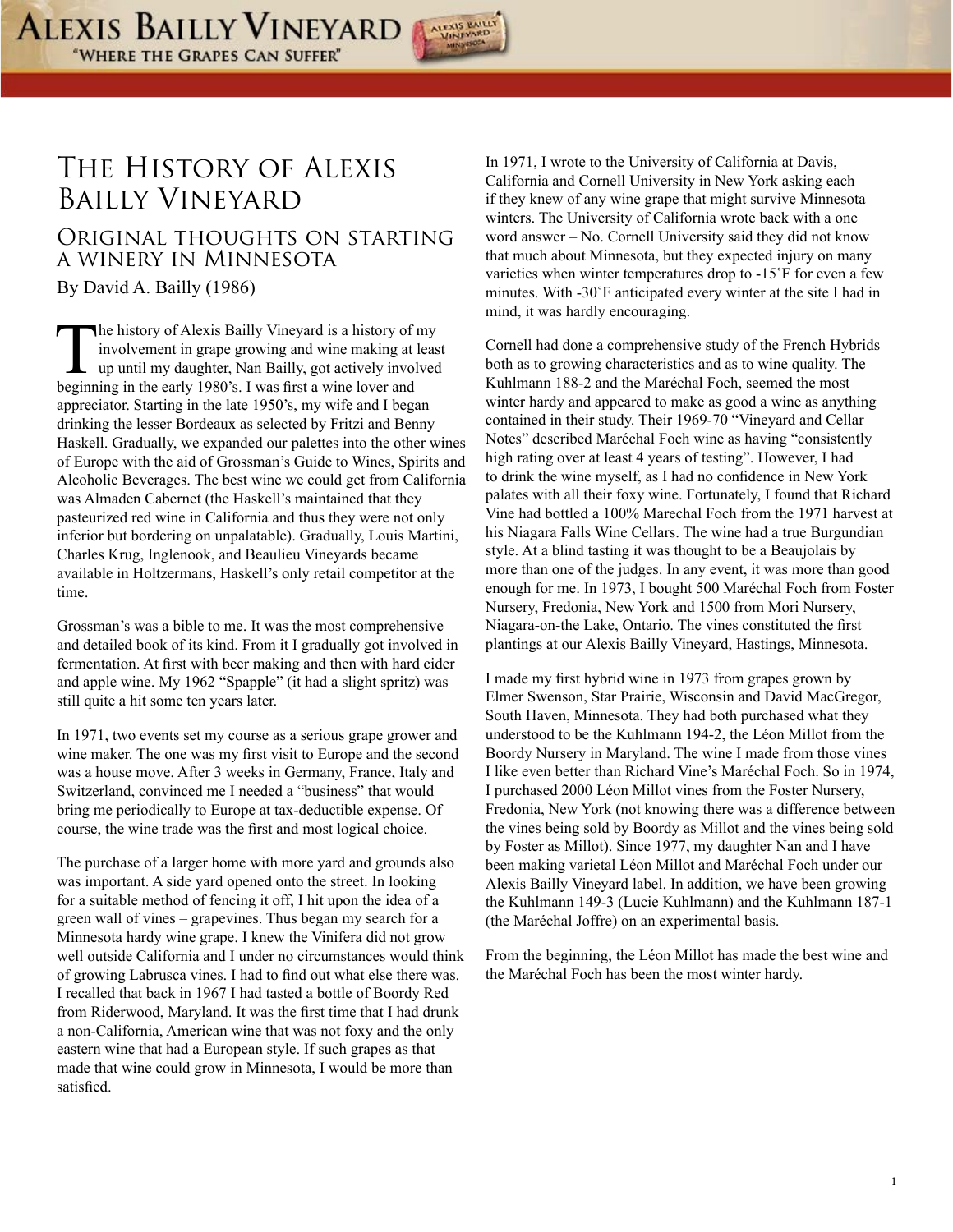

## The History of Alexis Bailly Vineyard

## Original thoughts on starting a winery in Minnesota By David A. Bailly (1986)

The history of Alexis Bailly Vineyard is a history of my<br>involvement in grape growing and wine making at leas<br>up until my daughter, Nan Bailly, got actively involved<br>beginning in the early 1980's I was first a wine lover a involvement in grape growing and wine making at least up until my daughter, Nan Bailly, got actively involved beginning in the early 1980's. I was first a wine lover and appreciator. Starting in the late 1950's, my wife and I began drinking the lesser Bordeaux as selected by Fritzi and Benny Haskell. Gradually, we expanded our palettes into the other wines of Europe with the aid of Grossman's Guide to Wines, Spirits and Alcoholic Beverages. The best wine we could get from California was Almaden Cabernet (the Haskell's maintained that they pasteurized red wine in California and thus they were not only inferior but bordering on unpalatable). Gradually, Louis Martini, Charles Krug, Inglenook, and Beaulieu Vineyards became available in Holtzermans, Haskell's only retail competitor at the time.

Grossman's was a bible to me. It was the most comprehensive and detailed book of its kind. From it I gradually got involved in fermentation. At first with beer making and then with hard cider and apple wine. My 1962 "Spapple" (it had a slight spritz) was still quite a hit some ten years later.

In 1971, two events set my course as a serious grape grower and wine maker. The one was my first visit to Europe and the second was a house move. After 3 weeks in Germany, France, Italy and Switzerland, convinced me I needed a "business" that would bring me periodically to Europe at tax-deductible expense. Of course, the wine trade was the first and most logical choice.

The purchase of a larger home with more yard and grounds also was important. A side yard opened onto the street. In looking for a suitable method of fencing it off, I hit upon the idea of a green wall of vines – grapevines. Thus began my search for a Minnesota hardy wine grape. I knew the Vinifera did not grow well outside California and I under no circumstances would think of growing Labrusca vines. I had to find out what else there was. I recalled that back in 1967 I had tasted a bottle of Boordy Red from Riderwood, Maryland. It was the first time that I had drunk a non-California, American wine that was not foxy and the only eastern wine that had a European style. If such grapes as that made that wine could grow in Minnesota, I would be more than satisfied.

In 1971, I wrote to the University of California at Davis, California and Cornell University in New York asking each if they knew of any wine grape that might survive Minnesota winters. The University of California wrote back with a one word answer – No. Cornell University said they did not know that much about Minnesota, but they expected injury on many varieties when winter temperatures drop to -15˚F for even a few minutes. With -30˚F anticipated every winter at the site I had in mind, it was hardly encouraging.

Cornell had done a comprehensive study of the French Hybrids both as to growing characteristics and as to wine quality. The Kuhlmann 188-2 and the Maréchal Foch, seemed the most winter hardy and appeared to make as good a wine as anything contained in their study. Their 1969-70 "Vineyard and Cellar Notes" described Maréchal Foch wine as having "consistently high rating over at least 4 years of testing". However, I had to drink the wine myself, as I had no confidence in New York palates with all their foxy wine. Fortunately, I found that Richard Vine had bottled a 100% Marechal Foch from the 1971 harvest at his Niagara Falls Wine Cellars. The wine had a true Burgundian style. At a blind tasting it was thought to be a Beaujolais by more than one of the judges. In any event, it was more than good enough for me. In 1973, I bought 500 Maréchal Foch from Foster Nursery, Fredonia, New York and 1500 from Mori Nursery, Niagara-on-the Lake, Ontario. The vines constituted the first plantings at our Alexis Bailly Vineyard, Hastings, Minnesota.

I made my first hybrid wine in 1973 from grapes grown by Elmer Swenson, Star Prairie, Wisconsin and David MacGregor, South Haven, Minnesota. They had both purchased what they understood to be the Kuhlmann 194-2, the Léon Millot from the Boordy Nursery in Maryland. The wine I made from those vines I like even better than Richard Vine's Maréchal Foch. So in 1974, I purchased 2000 Léon Millot vines from the Foster Nursery, Fredonia, New York (not knowing there was a difference between the vines being sold by Boordy as Millot and the vines being sold by Foster as Millot). Since 1977, my daughter Nan and I have been making varietal Léon Millot and Maréchal Foch under our Alexis Bailly Vineyard label. In addition, we have been growing the Kuhlmann 149-3 (Lucie Kuhlmann) and the Kuhlmann 187-1 (the Maréchal Joffre) on an experimental basis.

From the beginning, the Léon Millot has made the best wine and the Maréchal Foch has been the most winter hardy.